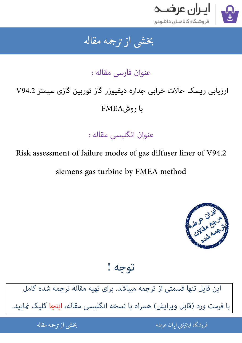

## جمه مقاله شی از تر بخشی از :

عنوان فارسی مقاله :

# ارزیابی ریسک حالات خرابی جداره دیفیوزر گاز توربین گازی سیمنز V94.2  $FMA$ روش  $f$

عنوان انگلیسی مقاله :

Risk assessment of failure modes of gas diffuser liner of V94.2

siemens gas turbine by FMEA method



توجه !

[این فایل تنها قسمتی از ترجمه میباشد. برای تهیه مقاله ترجمه شده کامل](http://iranarze.ir/risk+failure+gas+diffuser+liner+siemens+turbine+fmea)  با فرمت ورد (قابل ویرایش) همراه با نسخه انگلیسی مقاله، اینجا کلیک <sub>ن</sub>مایید.

> ֦֘ ه اينترنتي ايران عرضه مستخدم استخدام المستخدم المستخدم المستخدم المستخدم المستخدم المستخدم المستخدم المستخدم ا ֚֚֚֚֚֚֚֚֚֚֚֚֚֚֚֚֚֚֚֚֚֬֡֡֡֡֡֡֡֡֡֡֬֝֡֡֡֡֬֓֡֡֬

شی از ترجمه <mark>مقا</mark>له